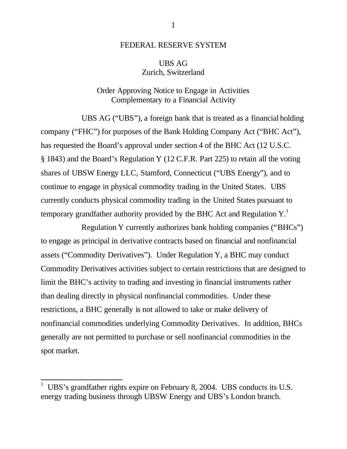## FEDERAL RESERVE SYSTEM

## UBS AG Zurich, Switzerland

## Order Approving Notice to Engage in Activities Complementary to a Financial Activity

UBS AG ("UBS"), a foreign bank that is treated as a financial holding company ("FHC") for purposes of the Bank Holding Company Act ("BHC Act"), has requested the Board's approval under section 4 of the BHC Act (12 U.S.C. § 1843) and the Board's Regulation Y (12 C.F.R. Part 225) to retain all the voting shares of UBSW Energy LLC, Stamford, Connecticut ("UBS Energy"), and to continue to engage in physical commodity trading in the United States. UBS currently conducts physical commodity trading in the United States pursuant to temporary grandfather authority provided by the BHC Act and Regulation  $Y<sup>1</sup>$ .

Regulation Y currently authorizes bank holding companies ("BHCs") to engage as principal in derivative contracts based on financial and nonfinancial assets ("Commodity Derivatives"). Under Regulation Y, a BHC may conduct Commodity Derivatives activities subject to certain restrictions that are designed to limit the BHC's activity to trading and investing in financial instruments rather than dealing directly in physical nonfinancial commodities. Under these restrictions, a BHC generally is not allowed to take or make delivery of nonfinancial commodities underlying Commodity Derivatives. In addition, BHCs generally are not permitted to purchase or sell nonfinancial commodities in the spot market.

<sup>1</sup> UBS's grandfather rights expire on February 8, 2004. UBS conducts its U.S. energy trading business through UBSW Energy and UBS's London branch.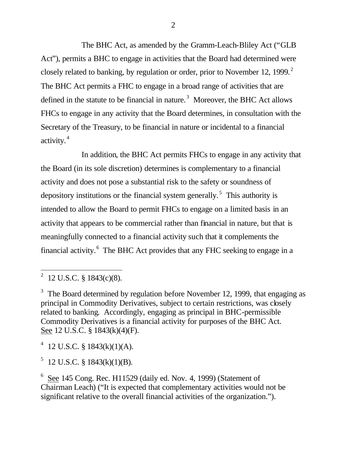The BHC Act, as amended by the Gramm-Leach-Bliley Act ("GLB Act"), permits a BHC to engage in activities that the Board had determined were closely related to banking, by regulation or order, prior to November 12, 1999.<sup>2</sup> The BHC Act permits a FHC to engage in a broad range of activities that are defined in the statute to be financial in nature.<sup>3</sup> Moreover, the BHC Act allows FHCs to engage in any activity that the Board determines, in consultation with the Secretary of the Treasury, to be financial in nature or incidental to a financial activity. <sup>4</sup>

In addition, the BHC Act permits FHCs to engage in any activity that the Board (in its sole discretion) determines is complementary to a financial activity and does not pose a substantial risk to the safety or soundness of depository institutions or the financial system generally.<sup>5</sup> This authority is intended to allow the Board to permit FHCs to engage on a limited basis in an activity that appears to be commercial rather than financial in nature, but that is meaningfully connected to a financial activity such that it complements the financial activity.<sup>6</sup> The BHC Act provides that any FHC seeking to engage in a

 $4$  12 U.S.C. § 1843(k)(1)(A).

 $5$  12 U.S.C. § 1843(k)(1)(B).

 $6$  See 145 Cong. Rec. H11529 (daily ed. Nov. 4, 1999) (Statement of Chairman Leach) ("It is expected that complementary activities would not be significant relative to the overall financial activities of the organization.").

<sup>2 12</sup> U.S.C. § 1843(c)(8).

 $3\text{ }$  The Board determined by regulation before November 12, 1999, that engaging as principal in Commodity Derivatives, subject to certain restrictions, was closely related to banking. Accordingly, engaging as principal in BHC-permissible Commodity Derivatives is a financial activity for purposes of the BHC Act. See 12 U.S.C. § 1843(k)(4)(F).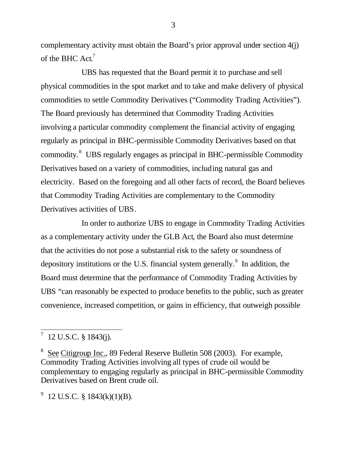complementary activity must obtain the Board's prior approval under section 4(j) of the BHC Act.<sup>7</sup>

UBS has requested that the Board permit it to purchase and sell physical commodities in the spot market and to take and make delivery of physical commodities to settle Commodity Derivatives ("Commodity Trading Activities"). The Board previously has determined that Commodity Trading Activities involving a particular commodity complement the financial activity of engaging regularly as principal in BHC-permissible Commodity Derivatives based on that commodity. 8 UBS regularly engages as principal in BHC-permissible Commodity Derivatives based on a variety of commodities, including natural gas and electricity. Based on the foregoing and all other facts of record, the Board believes that Commodity Trading Activities are complementary to the Commodity Derivatives activities of UBS.

In order to authorize UBS to engage in Commodity Trading Activities as a complementary activity under the GLB Act, the Board also must determine that the activities do not pose a substantial risk to the safety or soundness of depository institutions or the U.S. financial system generally.<sup>9</sup> In addition, the Board must determine that the performance of Commodity Trading Activities by UBS "can reasonably be expected to produce benefits to the public, such as greater convenience, increased competition, or gains in efficiency, that outweigh possible

 $9$  12 U.S.C. § 1843(k)(1)(B).

3

 $7$  12 U.S.C. § 1843(j).

<sup>8</sup> See Citigroup Inc., 89 Federal Reserve Bulletin 508 (2003). For example, Commodity Trading Activities involving all types of crude oil would be complementary to engaging regularly as principal in BHC-permissible Commodity Derivatives based on Brent crude oil.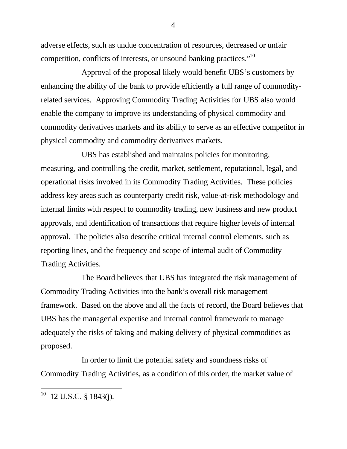adverse effects, such as undue concentration of resources, decreased or unfair competition, conflicts of interests, or unsound banking practices."<sup>10</sup>

Approval of the proposal likely would benefit UBS's customers by enhancing the ability of the bank to provide efficiently a full range of commodityrelated services. Approving Commodity Trading Activities for UBS also would enable the company to improve its understanding of physical commodity and commodity derivatives markets and its ability to serve as an effective competitor in physical commodity and commodity derivatives markets.

UBS has established and maintains policies for monitoring, measuring, and controlling the credit, market, settlement, reputational, legal, and operational risks involved in its Commodity Trading Activities. These policies address key areas such as counterparty credit risk, value-at-risk methodology and internal limits with respect to commodity trading, new business and new product approvals, and identification of transactions that require higher levels of internal approval. The policies also describe critical internal control elements, such as reporting lines, and the frequency and scope of internal audit of Commodity Trading Activities.

The Board believes that UBS has integrated the risk management of Commodity Trading Activities into the bank's overall risk management framework. Based on the above and all the facts of record, the Board believes that UBS has the managerial expertise and internal control framework to manage adequately the risks of taking and making delivery of physical commodities as proposed.

In order to limit the potential safety and soundness risks of Commodity Trading Activities, as a condition of this order, the market value of

4

 $10$  12 U.S.C. § 1843(j).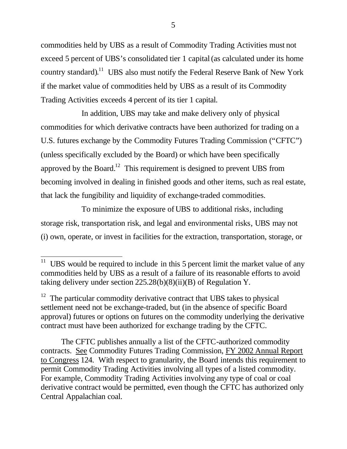commodities held by UBS as a result of Commodity Trading Activities must not exceed 5 percent of UBS's consolidated tier 1 capital (as calculated under its home country standard).<sup>11</sup> UBS also must notify the Federal Reserve Bank of New York if the market value of commodities held by UBS as a result of its Commodity Trading Activities exceeds 4 percent of its tier 1 capital.

In addition, UBS may take and make delivery only of physical commodities for which derivative contracts have been authorized for trading on a U.S. futures exchange by the Commodity Futures Trading Commission ("CFTC") (unless specifically excluded by the Board) or which have been specifically approved by the Board.<sup>12</sup> This requirement is designed to prevent UBS from becoming involved in dealing in finished goods and other items, such as real estate, that lack the fungibility and liquidity of exchange-traded commodities.

To minimize the exposure of UBS to additional risks, including storage risk, transportation risk, and legal and environmental risks, UBS may not (i) own, operate, or invest in facilities for the extraction, transportation, storage, or

 $12$  The particular commodity derivative contract that UBS takes to physical settlement need not be exchange-traded, but (in the absence of specific Board approval) futures or options on futures on the commodity underlying the derivative contract must have been authorized for exchange trading by the CFTC.

The CFTC publishes annually a list of the CFTC-authorized commodity contracts. See Commodity Futures Trading Commission, FY 2002 Annual Report to Congress 124. With respect to granularity, the Board intends this requirement to permit Commodity Trading Activities involving all types of a listed commodity. For example, Commodity Trading Activities involving any type of coal or coal derivative contract would be permitted, even though the CFTC has authorized only Central Appalachian coal.

<sup>&</sup>lt;sup>11</sup> UBS would be required to include in this 5 percent limit the market value of any commodities held by UBS as a result of a failure of its reasonable efforts to avoid taking delivery under section 225.28(b)(8)(ii)(B) of Regulation Y.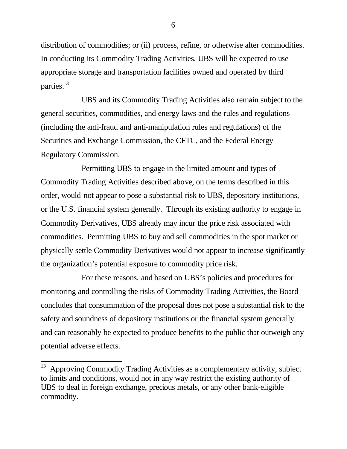distribution of commodities; or (ii) process, refine, or otherwise alter commodities. In conducting its Commodity Trading Activities, UBS will be expected to use appropriate storage and transportation facilities owned and operated by third parties.<sup>13</sup>

UBS and its Commodity Trading Activities also remain subject to the general securities, commodities, and energy laws and the rules and regulations (including the anti-fraud and anti-manipulation rules and regulations) of the Securities and Exchange Commission, the CFTC, and the Federal Energy Regulatory Commission.

Permitting UBS to engage in the limited amount and types of Commodity Trading Activities described above, on the terms described in this order, would not appear to pose a substantial risk to UBS, depository institutions, or the U.S. financial system generally. Through its existing authority to engage in Commodity Derivatives, UBS already may incur the price risk associated with commodities. Permitting UBS to buy and sell commodities in the spot market or physically settle Commodity Derivatives would not appear to increase significantly the organization's potential exposure to commodity price risk.

For these reasons, and based on UBS's policies and procedures for monitoring and controlling the risks of Commodity Trading Activities, the Board concludes that consummation of the proposal does not pose a substantial risk to the safety and soundness of depository institutions or the financial system generally and can reasonably be expected to produce benefits to the public that outweigh any potential adverse effects.

6

 $13$  Approving Commodity Trading Activities as a complementary activity, subject to limits and conditions, would not in any way restrict the existing authority of UBS to deal in foreign exchange, precious metals, or any other bank-eligible commodity.